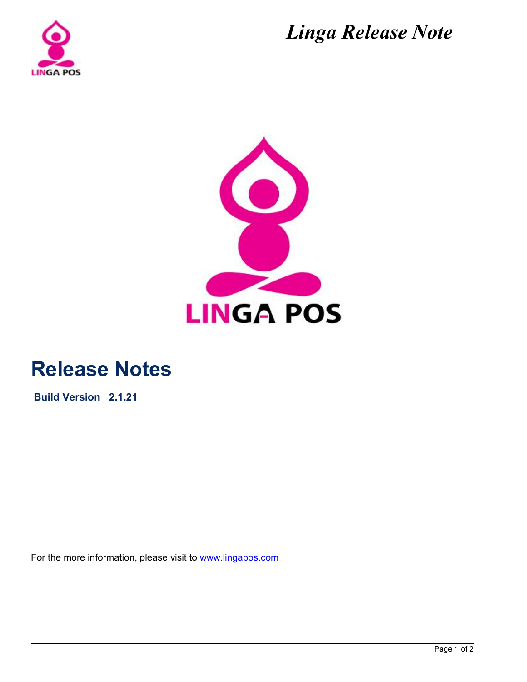

*Linga Release Note*



# **Release Notes**

**Build Version 2.1.21**

For the more information, please visit to [www.lingapos.com](http://www.lingapos.com)